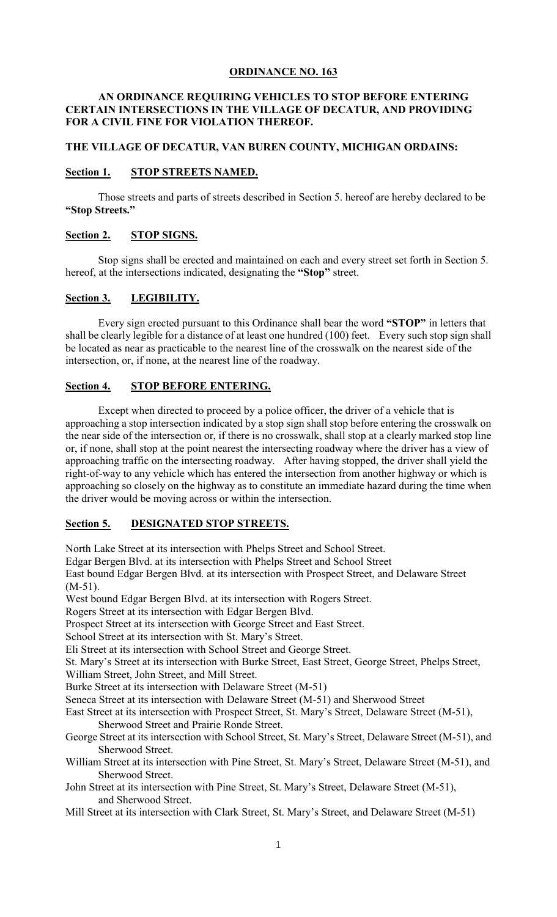## **ORDINANCE NO. 163**

## **AN ORDINANCE REQUIRING VEHICLES TO STOP BEFORE ENTERING CERTAIN INTERSECTIONS IN THE VILLAGE OF DECATUR, AND PROVIDING FOR A CIVIL FINE FOR VIOLATION THEREOF.**

#### **THE VILLAGE OF DECATUR, VAN BUREN COUNTY, MICHIGAN ORDAINS:**

## **Section 1. STOP STREETS NAMED.**

Those streets and parts of streets described in Section 5. hereof are hereby declared to be **"Stop Streets."**

#### **Section 2. STOP SIGNS.**

Stop signs shall be erected and maintained on each and every street set forth in Section 5. hereof, at the intersections indicated, designating the **"Stop"** street.

#### **Section 3. LEGIBILITY.**

Every sign erected pursuant to this Ordinance shall bear the word **"STOP"** in letters that shall be clearly legible for a distance of at least one hundred (100) feet. Every such stop sign shall be located as near as practicable to the nearest line of the crosswalk on the nearest side of the intersection, or, if none, at the nearest line of the roadway.

## **Section 4. STOP BEFORE ENTERING.**

Except when directed to proceed by a police officer, the driver of a vehicle that is approaching a stop intersection indicated by a stop sign shall stop before entering the crosswalk on the near side of the intersection or, if there is no crosswalk, shall stop at a clearly marked stop line or, if none, shall stop at the point nearest the intersecting roadway where the driver has a view of approaching traffic on the intersecting roadway. After having stopped, the driver shall yield the right-of-way to any vehicle which has entered the intersection from another highway or which is approaching so closely on the highway as to constitute an immediate hazard during the time when the driver would be moving across or within the intersection.

## **Section 5. DESIGNATED STOP STREETS.**

North Lake Street at its intersection with Phelps Street and School Street.

Edgar Bergen Blvd. at its intersection with Phelps Street and School Street

East bound Edgar Bergen Blvd. at its intersection with Prospect Street, and Delaware Street  $(M-51)$ .

West bound Edgar Bergen Blvd. at its intersection with Rogers Street.

Rogers Street at its intersection with Edgar Bergen Blvd.

Prospect Street at its intersection with George Street and East Street.

School Street at its intersection with St. Mary's Street.

Eli Street at its intersection with School Street and George Street.

St. Mary's Street at its intersection with Burke Street, East Street, George Street, Phelps Street,

William Street, John Street, and Mill Street.

Burke Street at its intersection with Delaware Street (M-51)

Seneca Street at its intersection with Delaware Street (M-51) and Sherwood Street

East Street at its intersection with Prospect Street, St. Mary's Street, Delaware Street (M-51), Sherwood Street and Prairie Ronde Street.

George Street at its intersection with School Street, St. Mary's Street, Delaware Street (M-51), and Sherwood Street.

William Street at its intersection with Pine Street, St. Mary's Street, Delaware Street (M-51), and Sherwood Street.

John Street at its intersection with Pine Street, St. Mary's Street, Delaware Street (M-51), and Sherwood Street.

Mill Street at its intersection with Clark Street, St. Mary's Street, and Delaware Street (M-51)